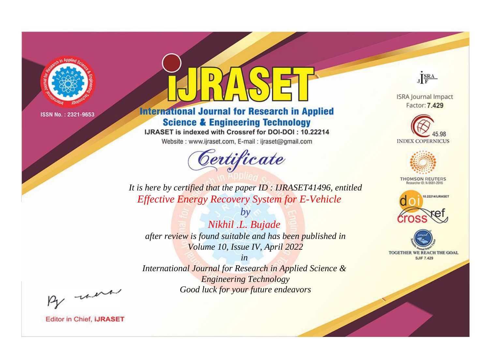

# **International Journal for Research in Applied Science & Engineering Technology**

IJRASET is indexed with Crossref for DOI-DOI: 10.22214

Website: www.ijraset.com, E-mail: ijraset@gmail.com



JERA

**ISRA Journal Impact** Factor: 7.429





**THOMSON REUTERS** 



TOGETHER WE REACH THE GOAL **SJIF 7.429** 

It is here by certified that the paper ID: IJRASET41496, entitled **Effective Energy Recovery System for E-Vehicle** 

 $b\nu$ Nikhil .L. Bujade after review is found suitable and has been published in Volume 10, Issue IV, April 2022

 $in$ International Journal for Research in Applied Science & **Engineering Technology** Good luck for your future endeavors

By morn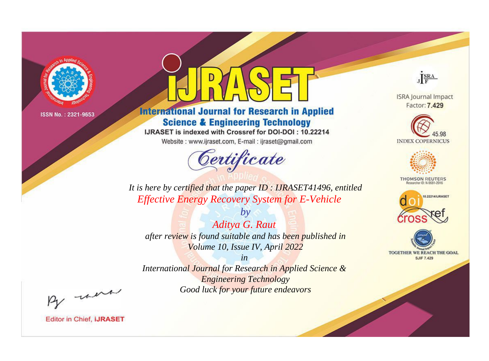

# **International Journal for Research in Applied Science & Engineering Technology**

IJRASET is indexed with Crossref for DOI-DOI: 10.22214

Website: www.ijraset.com, E-mail: ijraset@gmail.com



JERA

**ISRA Journal Impact** Factor: 7.429





**THOMSON REUTERS** 



TOGETHER WE REACH THE GOAL **SJIF 7.429** 

It is here by certified that the paper ID: IJRASET41496, entitled **Effective Energy Recovery System for E-Vehicle** 

Aditya G. Raut after review is found suitable and has been published in Volume 10, Issue IV, April 2022

 $b\nu$ 

 $in$ International Journal for Research in Applied Science & **Engineering Technology** Good luck for your future endeavors

By morn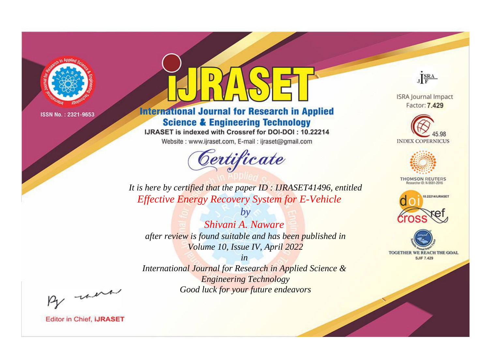

# **International Journal for Research in Applied Science & Engineering Technology**

IJRASET is indexed with Crossref for DOI-DOI: 10.22214

Website: www.ijraset.com, E-mail: ijraset@gmail.com



JERA

**ISRA Journal Impact** Factor: 7.429





**THOMSON REUTERS** 



TOGETHER WE REACH THE GOAL **SJIF 7.429** 

It is here by certified that the paper ID: IJRASET41496, entitled **Effective Energy Recovery System for E-Vehicle** 

Shivani A. Naware after review is found suitable and has been published in Volume 10, Issue IV, April 2022

 $b\nu$ 

 $in$ International Journal for Research in Applied Science & **Engineering Technology** Good luck for your future endeavors

By morn